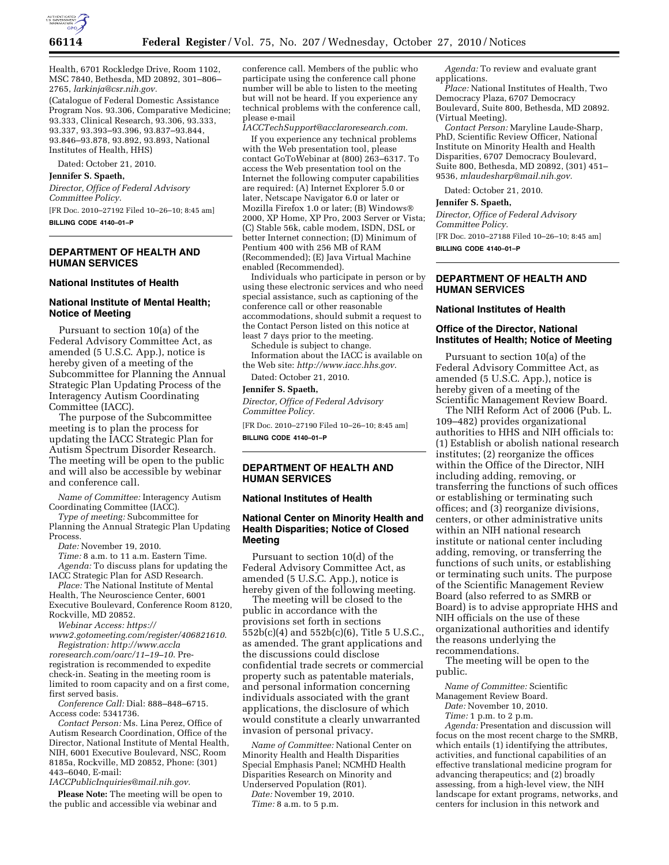

Health, 6701 Rockledge Drive, Room 1102, MSC 7840, Bethesda, MD 20892, 301–806– 2765, *[larkinja@csr.nih.gov.](mailto:larkinja@csr.nih.gov)* 

(Catalogue of Federal Domestic Assistance Program Nos. 93.306, Comparative Medicine; 93.333, Clinical Research, 93.306, 93.333, 93.337, 93.393–93.396, 93.837–93.844, 93.846–93.878, 93.892, 93.893, National Institutes of Health, HHS)

Dated: October 21, 2010.

#### **Jennifer S. Spaeth,**

*Director, Office of Federal Advisory Committee Policy.* 

[FR Doc. 2010–27192 Filed 10–26–10; 8:45 am] **BILLING CODE 4140–01–P** 

## **DEPARTMENT OF HEALTH AND HUMAN SERVICES**

#### **National Institutes of Health**

#### **National Institute of Mental Health; Notice of Meeting**

Pursuant to section 10(a) of the Federal Advisory Committee Act, as amended (5 U.S.C. App.), notice is hereby given of a meeting of the Subcommittee for Planning the Annual Strategic Plan Updating Process of the Interagency Autism Coordinating Committee (IACC).

The purpose of the Subcommittee meeting is to plan the process for updating the IACC Strategic Plan for Autism Spectrum Disorder Research. The meeting will be open to the public and will also be accessible by webinar and conference call.

*Name of Committee:* Interagency Autism Coordinating Committee (IACC).

*Type of meeting:* Subcommittee for Planning the Annual Strategic Plan Updating Process.

*Date:* November 19, 2010.

*Time:* 8 a.m. to 11 a.m. Eastern Time. *Agenda:* To discuss plans for updating the IACC Strategic Plan for ASD Research.

*Place:* The National Institute of Mental Health, The Neuroscience Center, 6001 Executive Boulevard, Conference Room 8120, Rockville, MD 20852.

*Webinar Access: https://* 

*[www2.gotomeeting.com/register/406821610](https://www2.gotomeeting.com/register/406821610)*. *[Registration: http://www.accla](http://www.acclaroresearch.com/oarc/11%E2%80%9319%E2%80%9310) roresearch.com/oarc/11–19–10*. Preregistration is recommended to expedite check-in. Seating in the meeting room is limited to room capacity and on a first come, first served basis.

*Conference Call:* Dial: 888–848–6715. Access code: 5341736.

*Contact Person:* Ms. Lina Perez, Office of Autism Research Coordination, Office of the Director, National Institute of Mental Health, NIH, 6001 Executive Boulevard, NSC, Room 8185a, Rockville, MD 20852, Phone: (301) 443–6040, E-mail:

*[IACCPublicInquiries@mail.nih.gov.](mailto:IACCPublicInquiries@mail.nih.gov)* 

**Please Note:** The meeting will be open to the public and accessible via webinar and

conference call. Members of the public who participate using the conference call phone number will be able to listen to the meeting but will not be heard. If you experience any technical problems with the conference call, please e-mail

*[IACCTechSupport@acclaroresearch.com](mailto:IACCTechSupport@acclaroresearch.com)*.

If you experience any technical problems with the Web presentation tool, please contact GoToWebinar at (800) 263–6317. To access the Web presentation tool on the Internet the following computer capabilities are required: (A) Internet Explorer 5.0 or later, Netscape Navigator 6.0 or later or Mozilla Firefox 1.0 or later; (B) Windows® 2000, XP Home, XP Pro, 2003 Server or Vista; (C) Stable 56k, cable modem, ISDN, DSL or better Internet connection; (D) Minimum of Pentium 400 with 256 MB of RAM (Recommended); (E) Java Virtual Machine enabled (Recommended).

Individuals who participate in person or by using these electronic services and who need special assistance, such as captioning of the conference call or other reasonable accommodations, should submit a request to the Contact Person listed on this notice at least 7 days prior to the meeting.

Schedule is subject to change.

Information about the IACC is available on the Web site: *<http://www.iacc.hhs.gov>*.

Dated: October 21, 2010.

**Jennifer S. Spaeth,** 

*Director, Office of Federal Advisory Committee Policy.* 

[FR Doc. 2010–27190 Filed 10–26–10; 8:45 am] **BILLING CODE 4140–01–P** 

## **DEPARTMENT OF HEALTH AND HUMAN SERVICES**

### **National Institutes of Health**

## **National Center on Minority Health and Health Disparities; Notice of Closed Meeting**

Pursuant to section 10(d) of the Federal Advisory Committee Act, as amended (5 U.S.C. App.), notice is hereby given of the following meeting.

The meeting will be closed to the public in accordance with the provisions set forth in sections 552b(c)(4) and 552b(c)(6), Title 5 U.S.C., as amended. The grant applications and the discussions could disclose confidential trade secrets or commercial property such as patentable materials, and personal information concerning individuals associated with the grant applications, the disclosure of which would constitute a clearly unwarranted invasion of personal privacy.

*Name of Committee:* National Center on Minority Health and Health Disparities Special Emphasis Panel; NCMHD Health Disparities Research on Minority and Underserved Population (R01).

*Date:* November 19, 2010. *Time:* 8 a.m. to 5 p.m.

*Agenda:* To review and evaluate grant applications.

*Place:* National Institutes of Health, Two Democracy Plaza, 6707 Democracy Boulevard, Suite 800, Bethesda, MD 20892. (Virtual Meeting).

*Contact Person:* Maryline Laude-Sharp, PhD, Scientific Review Officer, National Institute on Minority Health and Health Disparities, 6707 Democracy Boulevard, Suite 800, Bethesda, MD 20892, (301) 451– 9536, *[mlaudesharp@mail.nih.gov.](mailto:mlaudesharp@mail.nih.gov)* 

Dated: October 21, 2010.

#### **Jennifer S. Spaeth,**

*Director, Office of Federal Advisory Committee Policy.* 

[FR Doc. 2010–27188 Filed 10–26–10; 8:45 am] **BILLING CODE 4140–01–P** 

## **DEPARTMENT OF HEALTH AND HUMAN SERVICES**

## **National Institutes of Health**

## **Office of the Director, National Institutes of Health; Notice of Meeting**

Pursuant to section 10(a) of the Federal Advisory Committee Act, as amended (5 U.S.C. App.), notice is hereby given of a meeting of the Scientific Management Review Board.

The NIH Reform Act of 2006 (Pub. L. 109–482) provides organizational authorities to HHS and NIH officials to: (1) Establish or abolish national research institutes; (2) reorganize the offices within the Office of the Director, NIH including adding, removing, or transferring the functions of such offices or establishing or terminating such offices; and (3) reorganize divisions, centers, or other administrative units within an NIH national research institute or national center including adding, removing, or transferring the functions of such units, or establishing or terminating such units. The purpose of the Scientific Management Review Board (also referred to as SMRB or Board) is to advise appropriate HHS and NIH officials on the use of these organizational authorities and identify the reasons underlying the recommendations.

The meeting will be open to the public.

*Name of Committee:* Scientific

Management Review Board.

*Date:* November 10, 2010.

*Time:* 1 p.m. to 2 p.m.

*Agenda:* Presentation and discussion will focus on the most recent charge to the SMRB, which entails (1) identifying the attributes, activities, and functional capabilities of an effective translational medicine program for advancing therapeutics; and (2) broadly assessing, from a high-level view, the NIH landscape for extant programs, networks, and centers for inclusion in this network and